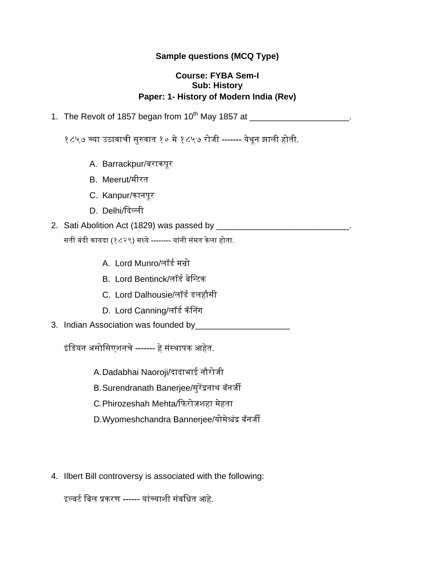## **Sample questions (MCQ Type)**

#### **Course: FYBA Sem-I Sub: History Paper: 1- History of Modern India** (**Rev)**

1. The Revolt of 1857 began from 10th May 1857 at \_\_\_\_\_\_\_\_\_\_\_\_\_\_\_\_\_\_\_\_\_.

१८५७ च्या उठावाची सुरुवात १० मे १८५७ रोजी ------- येथून झाली होती.

- A. Barrackpur/बराकपूर
- B. Meerut/मीरत
- C. Kanpur/कानपूर
- D. Delhi/ददल्ली
- 2. Sati Abolition Act (1829) was passed by **Exercise 2. Solution** सती बंदी कायदा (१८२९) मध्ये -------- यांनी संमत के ला होता.
	- A. Lord Munro/लॉर्ड मन्रो
	- B. Lord Bentinck/लॉर्ड बेन्टिक
	- C. Lord Dalhousie/लॉर्ड र्लहौसी
	- D. Lord Canning/लॉर्ड कॅनिंग
- 3. Indian Association was founded by\_\_\_

इंन्र्यन असोन्सएशनचे ------- हे संस्थापक आहेत.

A.Dadabhai Naoroji/दादाभाई नौरोजी

B.Surendranath Banerjee/सुरेंद्रनाथ बॅनजी

C.Phirozeshah Mehta/दिरोजशहा मेहता

- D.Wyomeshchandra Bannerjee/योमेश्चंद्र बॅनजी
- 4. Ilbert Bill controversy is associated with the following:

इल्बिड न्बल प्रकरण ------ यांच्याशी संबन्धत आहे.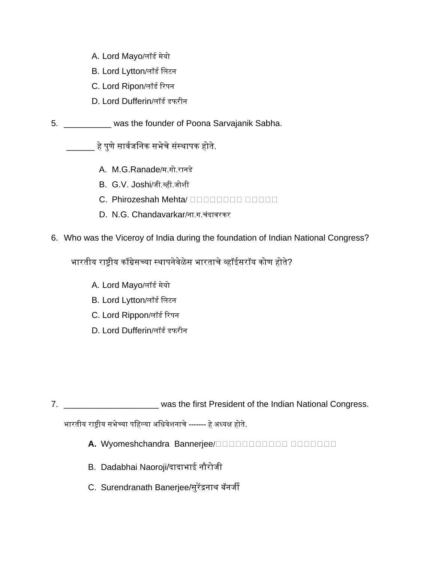- A. Lord Mayo/लॉर्ड मेयो
- B. Lord Lytton/लॉर्ड न्लिन
- C. Lord Ripon/लॉर्ड ररपन
- D. Lord Dufferin/लॉर्ड डफरीन
- 5. \_\_\_\_\_\_\_\_\_\_ was the founder of Poona Sarvajanik Sabha.

\_\_\_\_\_\_ हे पुणे सावडजन्नक सभेचे संस्थापक होते.

- A. M.G.Ranade/म.गो.रानर्े
- B. G.V. Joshi/जी.व्ही.जोशी
- C. Phirozeshah Mehta/ **BEBERG BERG BERG BERG**
- D. N.G. Chandavarkar/ना.ग.चंदावरकर

## 6. Who was the Viceroy of India during the foundation of Indian National Congress?

भारतीय राष्ट्रीय कॉंग्रेसच्या स्थापनेवेळेस भारताचे व्हॉईसरॉय कोण होते?

- A. Lord Mayo/लॉर्ड मेयो
- B. Lord Lytton/लॉर्ड न्लिन
- C. Lord Rippon/लॉर्ड ररपन
- D. Lord Dufferin/लॉर्ड डफरीन

7. \_\_\_\_\_\_\_\_\_\_\_\_\_\_\_\_\_\_\_\_\_\_\_\_ was the first President of the Indian National Congress.

भारतीय राष्ट्रीय सभेच्या पन्हल्या अन्धवेशनाचे ------- हे अध्यक्ष होते.

- A. Wyomeshchandra Bannerjee/DOODDDDDDDD DOODDDD
- B. Dadabhai Naoroji/दादाभाई नौरोजी
- C. Surendranath Banerjee/सुरेंद्रनाथ बॅनजी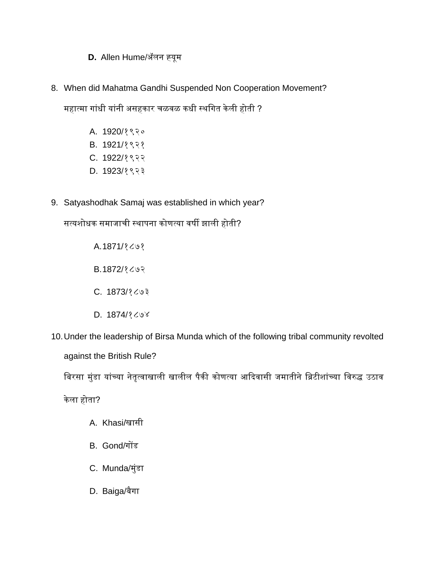# **D.** Allen Hume/अॅलन ह्यूम

8. When did Mahatma Gandhi Suspended Non Cooperation Movement?

महात्मा गांधी यांनी असहकार चळवळ कधी स्थगित केली होती ?

- A. 1920/१९२०
- B. 1921/१९२१
- C. 1922/१९२२
- D. 1923/१९२३
- 9. Satyashodhak Samaj was established in which year?

सत्यशोधक समाजाची स्थापना कोणत्या वषी झाली होती?

A.1871/१८७१

B.1872/१८७२

- C. 1873/१८७३
- D. 1874/१८७४

10.Under the leadership of Birsa Munda which of the following tribal community revolted against the British Rule?

बिरसा मुंडा यांच्या नेतृत्वाखाली खालील पैकी कोणत्या आदिवासी जमातीने ब्रिटीशांच्या विरुद्ध उठाव

केला होता?

- A. Khasi/खासी
- B. Gond/गोंर्
- C. Munda/मुंर्ा
- D. Baiga/बैगा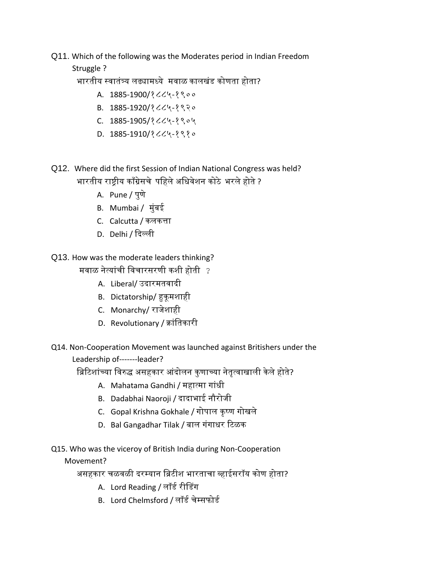## Q11. Which of the following was the Moderates period in Indian Freedom

# Struggle ?

भारतीय स्वातंत्र्य लढ्यामध्ये मवाळ कालखंर् कोणता होता?

- A. 1885-1900/१८८५-१९००
- B. 1885-1920/१८८५-१९२०
- C. 1885-1905/१८८५-१९०५
- D. 1885-1910/१८८५-१९१०
- Q12. Where did the first Session of Indian National Congress was held? भारतीय राष्ट्रीय कााँग्रेसचे पन्हलेअन्धवेशन कोठे भरलेहोते?
	- A. Pune / पुणे
	- B. Mumbai / मुंबई
	- C. Calcutta / कलकत्ता
	- D. Delhi / ददल्ली
- Q13. How was the moderate leaders thinking?

मवाळ नेत्यांची न्वचारसरणी कशी होती ?

- A. Liberal/ उदारमतवादी
- B. Dictatorship/ हुकूमशाही
- C. Monarchy/ राजेशाही
- D. Revolutionary / क्ांन्तकारी
- Q14. Non-Cooperation Movement was launched against Britishers under the Leadership of-------leader?

ब्रिटिशांच्या विरुद्ध असहकार आंदोलन कुणाच्या नेतृत्वाखाली केले होते?

- A. Mahatama Gandhi / महात्मा गांधी
- B. Dadabhai Naoroji / दादाभाई नौरोजी
- C. Gopal Krishna Gokhale / गोपाल कृष्ण गोखले
- D. Bal Gangadhar Tilak / बाल गंगाधर रिळक

Q15. Who was the viceroy of British India during Non-Cooperation

Movement?

असहकार चळवळी दरम्यान ब्रिटीश भारताचा व्हाईसरॉय कोण होता?

- A. Lord Reading / लॉर्ड रीनर्ग
- B. Lord Chelmsford / लॉर्ड चेम्सिोर्ड